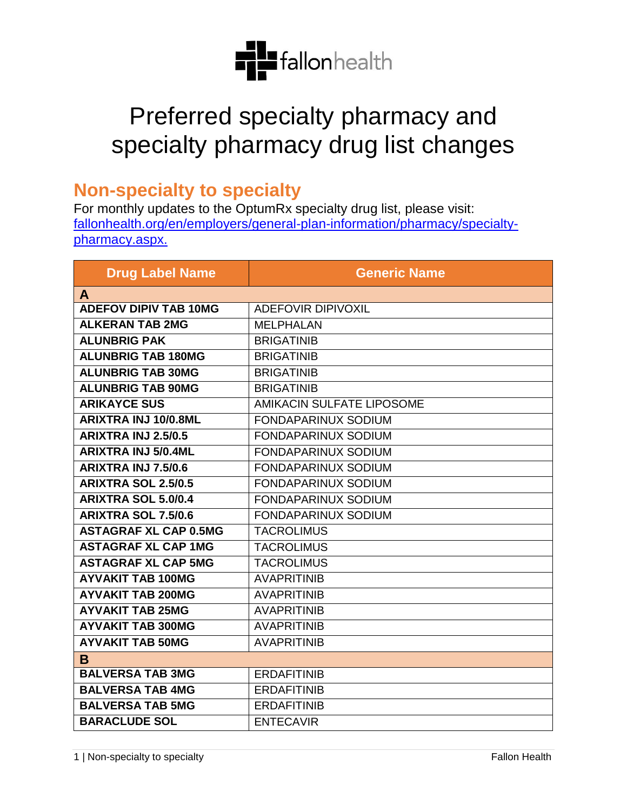

## Preferred specialty pharmacy and specialty pharmacy drug list changes

## **Non-specialty to specialty**

For monthly updates to the OptumRx specialty drug list, please visit: [fallonhealth.org/en/employers/general-plan-information/pharmacy/specialty](https://www.fchp.org/en/employers/general-plan-information/pharmacy/specialty-pharmacy.aspx)[pharmacy.aspx.](https://www.fchp.org/en/employers/general-plan-information/pharmacy/specialty-pharmacy.aspx)

| <b>Drug Label Name</b>       | <b>Generic Name</b>        |
|------------------------------|----------------------------|
| A                            |                            |
| <b>ADEFOV DIPIV TAB 10MG</b> | <b>ADEFOVIR DIPIVOXIL</b>  |
| <b>ALKERAN TAB 2MG</b>       | <b>MELPHALAN</b>           |
| <b>ALUNBRIG PAK</b>          | <b>BRIGATINIB</b>          |
| <b>ALUNBRIG TAB 180MG</b>    | <b>BRIGATINIB</b>          |
| <b>ALUNBRIG TAB 30MG</b>     | <b>BRIGATINIB</b>          |
| <b>ALUNBRIG TAB 90MG</b>     | <b>BRIGATINIB</b>          |
| <b>ARIKAYCE SUS</b>          | AMIKACIN SULFATE LIPOSOME  |
| <b>ARIXTRA INJ 10/0.8ML</b>  | FONDAPARINUX SODIUM        |
| <b>ARIXTRA INJ 2.5/0.5</b>   | <b>FONDAPARINUX SODIUM</b> |
| <b>ARIXTRA INJ 5/0.4ML</b>   | <b>FONDAPARINUX SODIUM</b> |
| <b>ARIXTRA INJ 7.5/0.6</b>   | <b>FONDAPARINUX SODIUM</b> |
| <b>ARIXTRA SOL 2.5/0.5</b>   | <b>FONDAPARINUX SODIUM</b> |
| <b>ARIXTRA SOL 5.0/0.4</b>   | <b>FONDAPARINUX SODIUM</b> |
| <b>ARIXTRA SOL 7.5/0.6</b>   | FONDAPARINUX SODIUM        |
| <b>ASTAGRAF XL CAP 0.5MG</b> | <b>TACROLIMUS</b>          |
| <b>ASTAGRAF XL CAP 1MG</b>   | <b>TACROLIMUS</b>          |
| <b>ASTAGRAF XL CAP 5MG</b>   | <b>TACROLIMUS</b>          |
| <b>AYVAKIT TAB 100MG</b>     | <b>AVAPRITINIB</b>         |
| <b>AYVAKIT TAB 200MG</b>     | <b>AVAPRITINIB</b>         |
| <b>AYVAKIT TAB 25MG</b>      | <b>AVAPRITINIB</b>         |
| <b>AYVAKIT TAB 300MG</b>     | <b>AVAPRITINIB</b>         |
| <b>AYVAKIT TAB 50MG</b>      | <b>AVAPRITINIB</b>         |
| B                            |                            |
| <b>BALVERSA TAB 3MG</b>      | <b>ERDAFITINIB</b>         |
| <b>BALVERSA TAB 4MG</b>      | <b>ERDAFITINIB</b>         |
| <b>BALVERSA TAB 5MG</b>      | <b>ERDAFITINIB</b>         |
| <b>BARACLUDE SOL</b>         | <b>ENTECAVIR</b>           |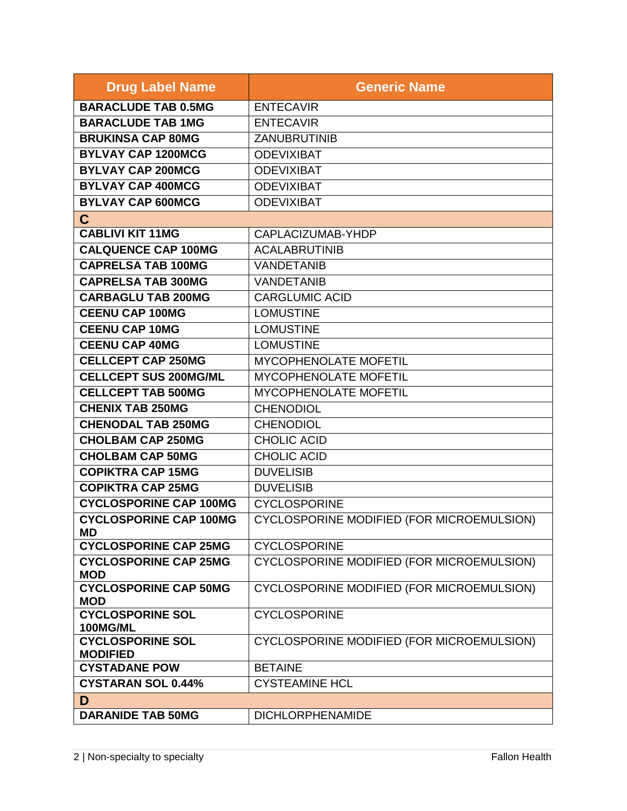| <b>Drug Label Name</b>                     | <b>Generic Name</b>                       |
|--------------------------------------------|-------------------------------------------|
| <b>BARACLUDE TAB 0.5MG</b>                 | <b>ENTECAVIR</b>                          |
| <b>BARACLUDE TAB 1MG</b>                   | <b>ENTECAVIR</b>                          |
| <b>BRUKINSA CAP 80MG</b>                   | <b>ZANUBRUTINIB</b>                       |
| <b>BYLVAY CAP 1200MCG</b>                  | <b>ODEVIXIBAT</b>                         |
| <b>BYLVAY CAP 200MCG</b>                   | <b>ODEVIXIBAT</b>                         |
| <b>BYLVAY CAP 400MCG</b>                   | <b>ODEVIXIBAT</b>                         |
| <b>BYLVAY CAP 600MCG</b>                   | <b>ODEVIXIBAT</b>                         |
| $\mathbf{C}$                               |                                           |
| <b>CABLIVI KIT 11MG</b>                    | CAPLACIZUMAB-YHDP                         |
| <b>CALQUENCE CAP 100MG</b>                 | <b>ACALABRUTINIB</b>                      |
| <b>CAPRELSA TAB 100MG</b>                  | <b>VANDETANIB</b>                         |
| <b>CAPRELSA TAB 300MG</b>                  | <b>VANDETANIB</b>                         |
| <b>CARBAGLU TAB 200MG</b>                  | <b>CARGLUMIC ACID</b>                     |
| <b>CEENU CAP 100MG</b>                     | <b>LOMUSTINE</b>                          |
| <b>CEENU CAP 10MG</b>                      | <b>LOMUSTINE</b>                          |
| <b>CEENU CAP 40MG</b>                      | <b>LOMUSTINE</b>                          |
| <b>CELLCEPT CAP 250MG</b>                  | MYCOPHENOLATE MOFETIL                     |
| <b>CELLCEPT SUS 200MG/ML</b>               | <b>MYCOPHENOLATE MOFETIL</b>              |
| <b>CELLCEPT TAB 500MG</b>                  | MYCOPHENOLATE MOFETIL                     |
| <b>CHENIX TAB 250MG</b>                    | <b>CHENODIOL</b>                          |
| <b>CHENODAL TAB 250MG</b>                  | <b>CHENODIOL</b>                          |
| <b>CHOLBAM CAP 250MG</b>                   | <b>CHOLIC ACID</b>                        |
| <b>CHOLBAM CAP 50MG</b>                    | <b>CHOLIC ACID</b>                        |
| <b>COPIKTRA CAP 15MG</b>                   | <b>DUVELISIB</b>                          |
| <b>COPIKTRA CAP 25MG</b>                   | <b>DUVELISIB</b>                          |
| <b>CYCLOSPORINE CAP 100MG</b>              | <b>CYCLOSPORINE</b>                       |
| <b>CYCLOSPORINE CAP 100MG</b><br>MD.       | CYCLOSPORINE MODIFIED (FOR MICROEMULSION) |
| <b>CYCLOSPORINE CAP 25MG</b>               | <b>CYCLOSPORINE</b>                       |
| <b>CYCLOSPORINE CAP 25MG</b><br><b>MOD</b> | CYCLOSPORINE MODIFIED (FOR MICROEMULSION) |
| <b>CYCLOSPORINE CAP 50MG</b><br><b>MOD</b> | CYCLOSPORINE MODIFIED (FOR MICROEMULSION) |
| <b>CYCLOSPORINE SOL</b><br><b>100MG/ML</b> | <b>CYCLOSPORINE</b>                       |
| <b>CYCLOSPORINE SOL</b><br><b>MODIFIED</b> | CYCLOSPORINE MODIFIED (FOR MICROEMULSION) |
| <b>CYSTADANE POW</b>                       | <b>BETAINE</b>                            |
| <b>CYSTARAN SOL 0.44%</b>                  | <b>CYSTEAMINE HCL</b>                     |
| D                                          |                                           |
| <b>DARANIDE TAB 50MG</b>                   | <b>DICHLORPHENAMIDE</b>                   |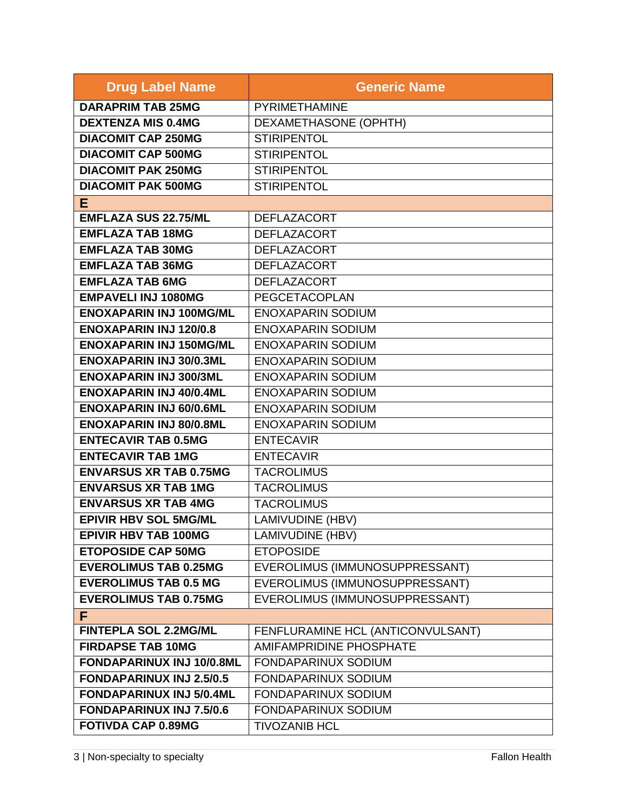| <b>Drug Label Name</b>          | <b>Generic Name</b>               |
|---------------------------------|-----------------------------------|
| <b>DARAPRIM TAB 25MG</b>        | PYRIMETHAMINE                     |
| <b>DEXTENZA MIS 0.4MG</b>       | DEXAMETHASONE (OPHTH)             |
| <b>DIACOMIT CAP 250MG</b>       | <b>STIRIPENTOL</b>                |
| <b>DIACOMIT CAP 500MG</b>       | <b>STIRIPENTOL</b>                |
| <b>DIACOMIT PAK 250MG</b>       | <b>STIRIPENTOL</b>                |
| <b>DIACOMIT PAK 500MG</b>       | <b>STIRIPENTOL</b>                |
| E                               |                                   |
| <b>EMFLAZA SUS 22.75/ML</b>     | <b>DEFLAZACORT</b>                |
| <b>EMFLAZA TAB 18MG</b>         | <b>DEFLAZACORT</b>                |
| <b>EMFLAZA TAB 30MG</b>         | <b>DEFLAZACORT</b>                |
| <b>EMFLAZA TAB 36MG</b>         | <b>DEFLAZACORT</b>                |
| <b>EMFLAZA TAB 6MG</b>          | <b>DEFLAZACORT</b>                |
| <b>EMPAVELI INJ 1080MG</b>      | PEGCETACOPLAN                     |
| <b>ENOXAPARIN INJ 100MG/ML</b>  | <b>ENOXAPARIN SODIUM</b>          |
| <b>ENOXAPARIN INJ 120/0.8</b>   | <b>ENOXAPARIN SODIUM</b>          |
| <b>ENOXAPARIN INJ 150MG/ML</b>  | <b>ENOXAPARIN SODIUM</b>          |
| <b>ENOXAPARIN INJ 30/0.3ML</b>  | <b>ENOXAPARIN SODIUM</b>          |
| <b>ENOXAPARIN INJ 300/3ML</b>   | <b>ENOXAPARIN SODIUM</b>          |
| <b>ENOXAPARIN INJ 40/0.4ML</b>  | <b>ENOXAPARIN SODIUM</b>          |
| <b>ENOXAPARIN INJ 60/0.6ML</b>  | <b>ENOXAPARIN SODIUM</b>          |
| <b>ENOXAPARIN INJ 80/0.8ML</b>  | <b>ENOXAPARIN SODIUM</b>          |
| <b>ENTECAVIR TAB 0.5MG</b>      | <b>ENTECAVIR</b>                  |
| <b>ENTECAVIR TAB 1MG</b>        | <b>ENTECAVIR</b>                  |
| <b>ENVARSUS XR TAB 0.75MG</b>   | <b>TACROLIMUS</b>                 |
| <b>ENVARSUS XR TAB 1MG</b>      | <b>TACROLIMUS</b>                 |
| <b>ENVARSUS XR TAB 4MG</b>      | <b>TACROLIMUS</b>                 |
| <b>EPIVIR HBV SOL 5MG/ML</b>    | LAMIVUDINE (HBV)                  |
| <b>EPIVIR HBV TAB 100MG</b>     | LAMIVUDINE (HBV)                  |
| <b>ETOPOSIDE CAP 50MG</b>       | <b>ETOPOSIDE</b>                  |
| <b>EVEROLIMUS TAB 0.25MG</b>    | EVEROLIMUS (IMMUNOSUPPRESSANT)    |
| <b>EVEROLIMUS TAB 0.5 MG</b>    | EVEROLIMUS (IMMUNOSUPPRESSANT)    |
| <b>EVEROLIMUS TAB 0.75MG</b>    | EVEROLIMUS (IMMUNOSUPPRESSANT)    |
| F.                              |                                   |
| <b>FINTEPLA SOL 2.2MG/ML</b>    | FENFLURAMINE HCL (ANTICONVULSANT) |
| <b>FIRDAPSE TAB 10MG</b>        | <b>AMIFAMPRIDINE PHOSPHATE</b>    |
| FONDAPARINUX INJ 10/0.8ML       | <b>FONDAPARINUX SODIUM</b>        |
| <b>FONDAPARINUX INJ 2.5/0.5</b> | <b>FONDAPARINUX SODIUM</b>        |
| <b>FONDAPARINUX INJ 5/0.4ML</b> | FONDAPARINUX SODIUM               |
| <b>FONDAPARINUX INJ 7.5/0.6</b> | FONDAPARINUX SODIUM               |
| <b>FOTIVDA CAP 0.89MG</b>       | <b>TIVOZANIB HCL</b>              |

3 | Non-specialty to specialty **Fallon Health**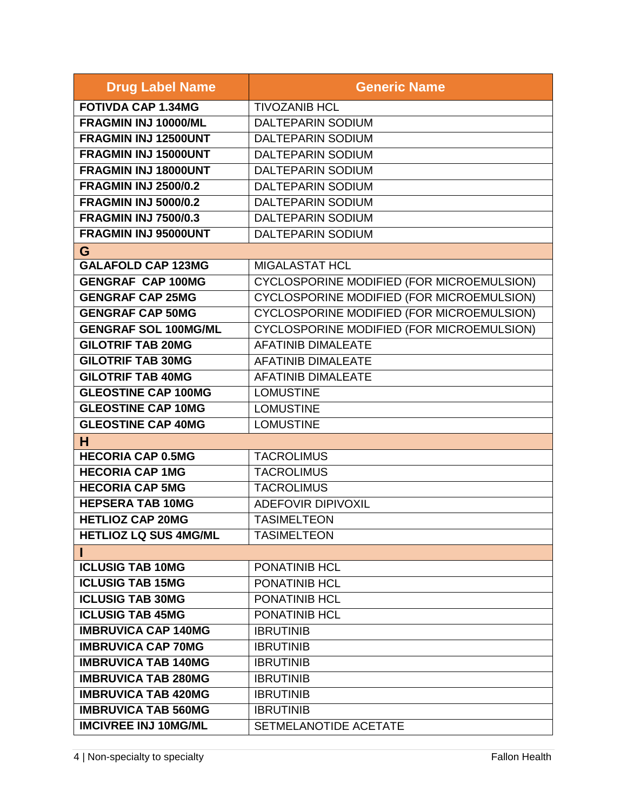| <b>Drug Label Name</b>       | <b>Generic Name</b>                              |
|------------------------------|--------------------------------------------------|
| <b>FOTIVDA CAP 1.34MG</b>    | <b>TIVOZANIB HCL</b>                             |
| FRAGMIN INJ 10000/ML         | <b>DALTEPARIN SODIUM</b>                         |
| <b>FRAGMIN INJ 12500UNT</b>  | <b>DALTEPARIN SODIUM</b>                         |
| FRAGMIN INJ 15000UNT         | <b>DALTEPARIN SODIUM</b>                         |
| FRAGMIN INJ 18000UNT         | <b>DALTEPARIN SODIUM</b>                         |
| <b>FRAGMIN INJ 2500/0.2</b>  | <b>DALTEPARIN SODIUM</b>                         |
| <b>FRAGMIN INJ 5000/0.2</b>  | <b>DALTEPARIN SODIUM</b>                         |
| <b>FRAGMIN INJ 7500/0.3</b>  | <b>DALTEPARIN SODIUM</b>                         |
| FRAGMIN INJ 95000UNT         | <b>DALTEPARIN SODIUM</b>                         |
| G                            |                                                  |
| <b>GALAFOLD CAP 123MG</b>    | <b>MIGALASTAT HCL</b>                            |
| <b>GENGRAF CAP 100MG</b>     | CYCLOSPORINE MODIFIED (FOR MICROEMULSION)        |
| <b>GENGRAF CAP 25MG</b>      | CYCLOSPORINE MODIFIED (FOR MICROEMULSION)        |
| <b>GENGRAF CAP 50MG</b>      | <b>CYCLOSPORINE MODIFIED (FOR MICROEMULSION)</b> |
| <b>GENGRAF SOL 100MG/ML</b>  | CYCLOSPORINE MODIFIED (FOR MICROEMULSION)        |
| <b>GILOTRIF TAB 20MG</b>     | <b>AFATINIB DIMALEATE</b>                        |
| <b>GILOTRIF TAB 30MG</b>     | <b>AFATINIB DIMALEATE</b>                        |
| <b>GILOTRIF TAB 40MG</b>     | <b>AFATINIB DIMALEATE</b>                        |
| <b>GLEOSTINE CAP 100MG</b>   | <b>LOMUSTINE</b>                                 |
| <b>GLEOSTINE CAP 10MG</b>    | <b>LOMUSTINE</b>                                 |
| <b>GLEOSTINE CAP 40MG</b>    | <b>LOMUSTINE</b>                                 |
| н                            |                                                  |
| <b>HECORIA CAP 0.5MG</b>     | <b>TACROLIMUS</b>                                |
| <b>HECORIA CAP 1MG</b>       | <b>TACROLIMUS</b>                                |
| <b>HECORIA CAP 5MG</b>       | <b>TACROLIMUS</b>                                |
| <b>HEPSERA TAB 10MG</b>      | <b>ADEFOVIR DIPIVOXIL</b>                        |
| <b>HETLIOZ CAP 20MG</b>      | <b>TASIMELTEON</b>                               |
| <b>HETLIOZ LQ SUS 4MG/ML</b> | <b>TASIMELTEON</b>                               |
| н                            |                                                  |
| <b>ICLUSIG TAB 10MG</b>      | PONATINIB HCL                                    |
| <b>ICLUSIG TAB 15MG</b>      | PONATINIB HCL                                    |
| <b>ICLUSIG TAB 30MG</b>      | PONATINIB HCL                                    |
| <b>ICLUSIG TAB 45MG</b>      | PONATINIB HCL                                    |
| <b>IMBRUVICA CAP 140MG</b>   | <b>IBRUTINIB</b>                                 |
| <b>IMBRUVICA CAP 70MG</b>    | <b>IBRUTINIB</b>                                 |
| <b>IMBRUVICA TAB 140MG</b>   | <b>IBRUTINIB</b>                                 |
| <b>IMBRUVICA TAB 280MG</b>   | <b>IBRUTINIB</b>                                 |
| <b>IMBRUVICA TAB 420MG</b>   | <b>IBRUTINIB</b>                                 |
| <b>IMBRUVICA TAB 560MG</b>   | <b>IBRUTINIB</b>                                 |
| <b>IMCIVREE INJ 10MG/ML</b>  | SETMELANOTIDE ACETATE                            |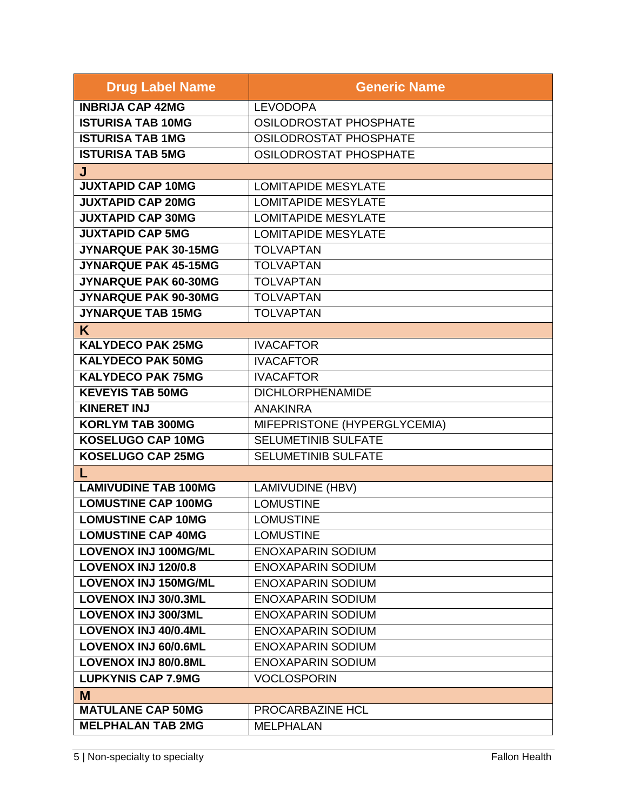| <b>Drug Label Name</b>      | <b>Generic Name</b>           |
|-----------------------------|-------------------------------|
| <b>INBRIJA CAP 42MG</b>     | <b>LEVODOPA</b>               |
| <b>ISTURISA TAB 10MG</b>    | OSILODROSTAT PHOSPHATE        |
| <b>ISTURISA TAB 1MG</b>     | OSILODROSTAT PHOSPHATE        |
| <b>ISTURISA TAB 5MG</b>     | <b>OSILODROSTAT PHOSPHATE</b> |
| J                           |                               |
| <b>JUXTAPID CAP 10MG</b>    | <b>LOMITAPIDE MESYLATE</b>    |
| <b>JUXTAPID CAP 20MG</b>    | <b>LOMITAPIDE MESYLATE</b>    |
| <b>JUXTAPID CAP 30MG</b>    | <b>LOMITAPIDE MESYLATE</b>    |
| <b>JUXTAPID CAP 5MG</b>     | <b>LOMITAPIDE MESYLATE</b>    |
| JYNARQUE PAK 30-15MG        | <b>TOLVAPTAN</b>              |
| JYNARQUE PAK 45-15MG        | <b>TOLVAPTAN</b>              |
| JYNARQUE PAK 60-30MG        | <b>TOLVAPTAN</b>              |
| JYNARQUE PAK 90-30MG        | <b>TOLVAPTAN</b>              |
| <b>JYNARQUE TAB 15MG</b>    | <b>TOLVAPTAN</b>              |
| K                           |                               |
| <b>KALYDECO PAK 25MG</b>    | <b>IVACAFTOR</b>              |
| <b>KALYDECO PAK 50MG</b>    | <b>IVACAFTOR</b>              |
| <b>KALYDECO PAK 75MG</b>    | <b>IVACAFTOR</b>              |
| <b>KEVEYIS TAB 50MG</b>     | <b>DICHLORPHENAMIDE</b>       |
| <b>KINERET INJ</b>          | <b>ANAKINRA</b>               |
| <b>KORLYM TAB 300MG</b>     | MIFEPRISTONE (HYPERGLYCEMIA)  |
| <b>KOSELUGO CAP 10MG</b>    | <b>SELUMETINIB SULFATE</b>    |
| <b>KOSELUGO CAP 25MG</b>    | <b>SELUMETINIB SULFATE</b>    |
| L                           |                               |
| <b>LAMIVUDINE TAB 100MG</b> | LAMIVUDINE (HBV)              |
| <b>LOMUSTINE CAP 100MG</b>  | <b>LOMUSTINE</b>              |
| <b>LOMUSTINE CAP 10MG</b>   | <b>LOMUSTINE</b>              |
| <b>LOMUSTINE CAP 40MG</b>   | <b>LOMUSTINE</b>              |
| <b>LOVENOX INJ 100MG/ML</b> | <b>ENOXAPARIN SODIUM</b>      |
| <b>LOVENOX INJ 120/0.8</b>  | <b>ENOXAPARIN SODIUM</b>      |
| <b>LOVENOX INJ 150MG/ML</b> | <b>ENOXAPARIN SODIUM</b>      |
| LOVENOX INJ 30/0.3ML        | <b>ENOXAPARIN SODIUM</b>      |
| <b>LOVENOX INJ 300/3ML</b>  | <b>ENOXAPARIN SODIUM</b>      |
| <b>LOVENOX INJ 40/0.4ML</b> | <b>ENOXAPARIN SODIUM</b>      |
| <b>LOVENOX INJ 60/0.6ML</b> | <b>ENOXAPARIN SODIUM</b>      |
| <b>LOVENOX INJ 80/0.8ML</b> | <b>ENOXAPARIN SODIUM</b>      |
| <b>LUPKYNIS CAP 7.9MG</b>   | <b>VOCLOSPORIN</b>            |
| M                           |                               |
| <b>MATULANE CAP 50MG</b>    | PROCARBAZINE HCL              |
| <b>MELPHALAN TAB 2MG</b>    | <b>MELPHALAN</b>              |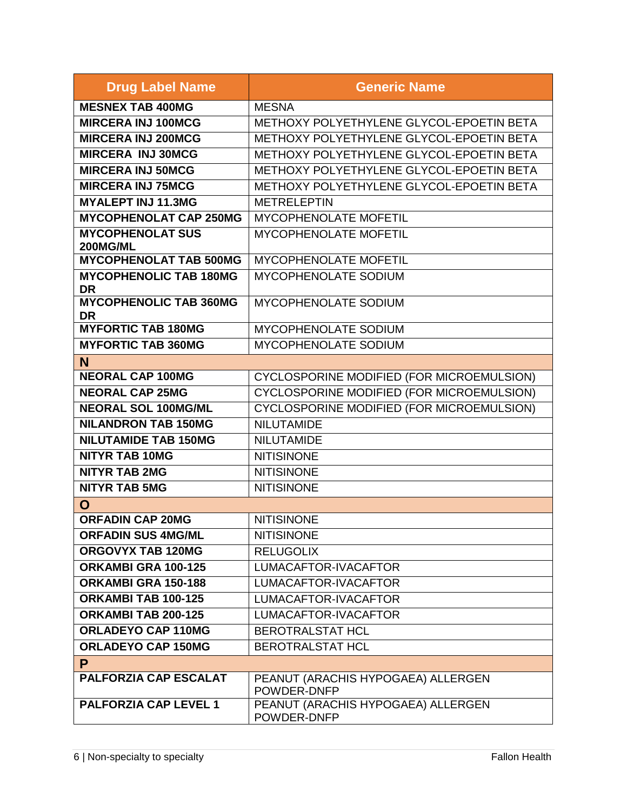| <b>Drug Label Name</b>                     | <b>Generic Name</b>                               |
|--------------------------------------------|---------------------------------------------------|
| <b>MESNEX TAB 400MG</b>                    | <b>MESNA</b>                                      |
| <b>MIRCERA INJ 100MCG</b>                  | METHOXY POLYETHYLENE GLYCOL-EPOETIN BETA          |
| <b>MIRCERA INJ 200MCG</b>                  | METHOXY POLYETHYLENE GLYCOL-EPOETIN BETA          |
| <b>MIRCERA INJ 30MCG</b>                   | METHOXY POLYETHYLENE GLYCOL-EPOETIN BETA          |
| <b>MIRCERA INJ 50MCG</b>                   | METHOXY POLYETHYLENE GLYCOL-EPOETIN BETA          |
| <b>MIRCERA INJ 75MCG</b>                   | METHOXY POLYETHYLENE GLYCOL-EPOETIN BETA          |
| <b>MYALEPT INJ 11.3MG</b>                  | <b>METRELEPTIN</b>                                |
| <b>MYCOPHENOLAT CAP 250MG</b>              | <b>MYCOPHENOLATE MOFETIL</b>                      |
| <b>MYCOPHENOLAT SUS</b><br><b>200MG/ML</b> | MYCOPHENOLATE MOFETIL                             |
| <b>MYCOPHENOLAT TAB 500MG</b>              | MYCOPHENOLATE MOFETIL                             |
| <b>MYCOPHENOLIC TAB 180MG</b><br><b>DR</b> | MYCOPHENOLATE SODIUM                              |
| <b>MYCOPHENOLIC TAB 360MG</b><br>DR        | MYCOPHENOLATE SODIUM                              |
| <b>MYFORTIC TAB 180MG</b>                  | MYCOPHENOLATE SODIUM                              |
| <b>MYFORTIC TAB 360MG</b>                  | <b>MYCOPHENOLATE SODIUM</b>                       |
| N                                          |                                                   |
| <b>NEORAL CAP 100MG</b>                    | CYCLOSPORINE MODIFIED (FOR MICROEMULSION)         |
| <b>NEORAL CAP 25MG</b>                     | CYCLOSPORINE MODIFIED (FOR MICROEMULSION)         |
| <b>NEORAL SOL 100MG/ML</b>                 | CYCLOSPORINE MODIFIED (FOR MICROEMULSION)         |
| <b>NILANDRON TAB 150MG</b>                 | <b>NILUTAMIDE</b>                                 |
| <b>NILUTAMIDE TAB 150MG</b>                | <b>NILUTAMIDE</b>                                 |
| <b>NITYR TAB 10MG</b>                      | <b>NITISINONE</b>                                 |
| <b>NITYR TAB 2MG</b>                       | <b>NITISINONE</b>                                 |
| <b>NITYR TAB 5MG</b>                       | <b>NITISINONE</b>                                 |
| $\mathbf O$                                |                                                   |
| <b>ORFADIN CAP 20MG</b>                    | <b>NITISINONE</b>                                 |
| <b>ORFADIN SUS 4MG/ML</b>                  | <b>NITISINONE</b>                                 |
| ORGOVYX TAB 120MG                          | <b>RELUGOLIX</b>                                  |
| ORKAMBI GRA 100-125                        | LUMACAFTOR-IVACAFTOR                              |
| ORKAMBI GRA 150-188                        | LUMACAFTOR-IVACAFTOR                              |
| ORKAMBI TAB 100-125                        | LUMACAFTOR-IVACAFTOR                              |
| ORKAMBI TAB 200-125                        | LUMACAFTOR-IVACAFTOR                              |
| <b>ORLADEYO CAP 110MG</b>                  | <b>BEROTRALSTAT HCL</b>                           |
| <b>ORLADEYO CAP 150MG</b>                  | <b>BEROTRALSTAT HCL</b>                           |
| P                                          |                                                   |
| <b>PALFORZIA CAP ESCALAT</b>               | PEANUT (ARACHIS HYPOGAEA) ALLERGEN<br>POWDER-DNFP |
| <b>PALFORZIA CAP LEVEL 1</b>               | PEANUT (ARACHIS HYPOGAEA) ALLERGEN<br>POWDER-DNFP |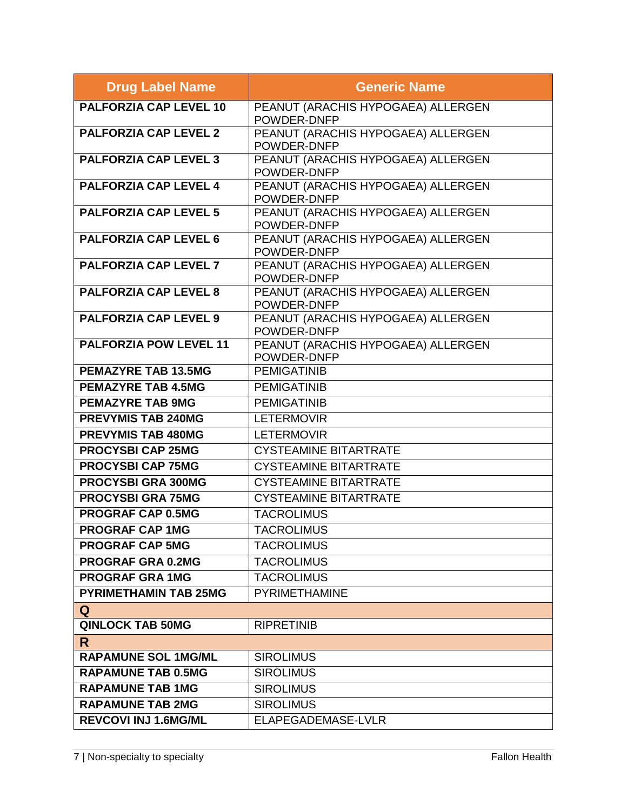| <b>Drug Label Name</b>        | <b>Generic Name</b>                               |
|-------------------------------|---------------------------------------------------|
| <b>PALFORZIA CAP LEVEL 10</b> | PEANUT (ARACHIS HYPOGAEA) ALLERGEN<br>POWDER-DNFP |
| <b>PALFORZIA CAP LEVEL 2</b>  | PEANUT (ARACHIS HYPOGAEA) ALLERGEN<br>POWDER-DNFP |
| <b>PALFORZIA CAP LEVEL 3</b>  | PEANUT (ARACHIS HYPOGAEA) ALLERGEN<br>POWDER-DNFP |
| <b>PALFORZIA CAP LEVEL 4</b>  | PEANUT (ARACHIS HYPOGAEA) ALLERGEN<br>POWDER-DNFP |
| <b>PALFORZIA CAP LEVEL 5</b>  | PEANUT (ARACHIS HYPOGAEA) ALLERGEN<br>POWDER-DNFP |
| <b>PALFORZIA CAP LEVEL 6</b>  | PEANUT (ARACHIS HYPOGAEA) ALLERGEN<br>POWDER-DNFP |
| <b>PALFORZIA CAP LEVEL 7</b>  | PEANUT (ARACHIS HYPOGAEA) ALLERGEN<br>POWDER-DNFP |
| <b>PALFORZIA CAP LEVEL 8</b>  | PEANUT (ARACHIS HYPOGAEA) ALLERGEN<br>POWDER-DNFP |
| <b>PALFORZIA CAP LEVEL 9</b>  | PEANUT (ARACHIS HYPOGAEA) ALLERGEN<br>POWDER-DNFP |
| <b>PALFORZIA POW LEVEL 11</b> | PEANUT (ARACHIS HYPOGAEA) ALLERGEN<br>POWDER-DNFP |
| <b>PEMAZYRE TAB 13.5MG</b>    | <b>PEMIGATINIB</b>                                |
| <b>PEMAZYRE TAB 4.5MG</b>     | <b>PEMIGATINIB</b>                                |
| <b>PEMAZYRE TAB 9MG</b>       | <b>PEMIGATINIB</b>                                |
| <b>PREVYMIS TAB 240MG</b>     | <b>LETERMOVIR</b>                                 |
| <b>PREVYMIS TAB 480MG</b>     | <b>LETERMOVIR</b>                                 |
| <b>PROCYSBI CAP 25MG</b>      | <b>CYSTEAMINE BITARTRATE</b>                      |
| <b>PROCYSBI CAP 75MG</b>      | <b>CYSTEAMINE BITARTRATE</b>                      |
| <b>PROCYSBI GRA 300MG</b>     | <b>CYSTEAMINE BITARTRATE</b>                      |
| <b>PROCYSBI GRA 75MG</b>      | <b>CYSTEAMINE BITARTRATE</b>                      |
| <b>PROGRAF CAP 0.5MG</b>      | <b>TACROLIMUS</b>                                 |
| <b>PROGRAF CAP 1MG</b>        | <b>TACROLIMUS</b>                                 |
| <b>PROGRAF CAP 5MG</b>        | <b>TACROLIMUS</b>                                 |
| <b>PROGRAF GRA 0.2MG</b>      | <b>TACROLIMUS</b>                                 |
| <b>PROGRAF GRA 1MG</b>        | <b>TACROLIMUS</b>                                 |
| <b>PYRIMETHAMIN TAB 25MG</b>  | <b>PYRIMETHAMINE</b>                              |
| Q                             |                                                   |
| <b>QINLOCK TAB 50MG</b>       | <b>RIPRETINIB</b>                                 |
| R.                            |                                                   |
| <b>RAPAMUNE SOL 1MG/ML</b>    | <b>SIROLIMUS</b>                                  |
| <b>RAPAMUNE TAB 0.5MG</b>     | <b>SIROLIMUS</b>                                  |
| <b>RAPAMUNE TAB 1MG</b>       | <b>SIROLIMUS</b>                                  |
| <b>RAPAMUNE TAB 2MG</b>       | <b>SIROLIMUS</b>                                  |
| <b>REVCOVI INJ 1.6MG/ML</b>   | ELAPEGADEMASE-LVLR                                |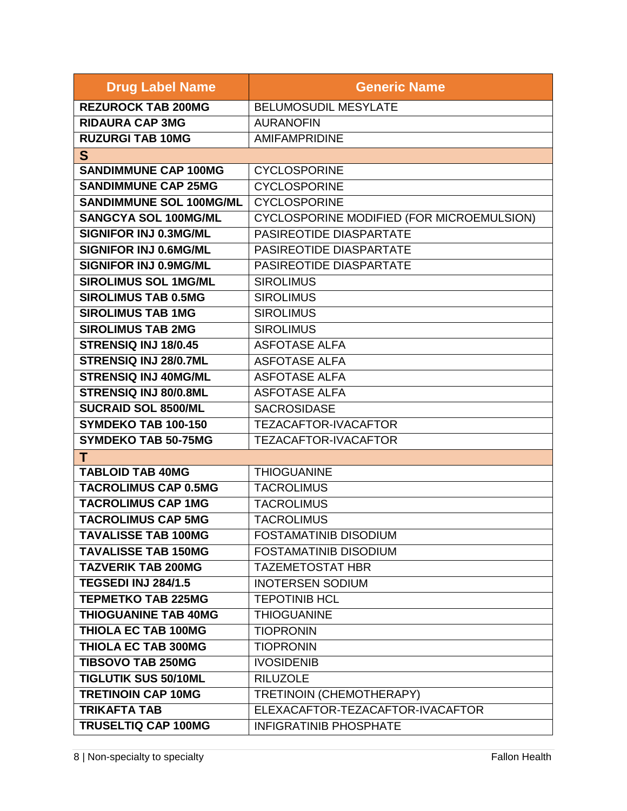| <b>Drug Label Name</b>         | <b>Generic Name</b>                       |
|--------------------------------|-------------------------------------------|
| <b>REZUROCK TAB 200MG</b>      | <b>BELUMOSUDIL MESYLATE</b>               |
| <b>RIDAURA CAP 3MG</b>         | <b>AURANOFIN</b>                          |
| <b>RUZURGI TAB 10MG</b>        | <b>AMIFAMPRIDINE</b>                      |
| S                              |                                           |
| <b>SANDIMMUNE CAP 100MG</b>    | <b>CYCLOSPORINE</b>                       |
| <b>SANDIMMUNE CAP 25MG</b>     | <b>CYCLOSPORINE</b>                       |
| <b>SANDIMMUNE SOL 100MG/ML</b> | <b>CYCLOSPORINE</b>                       |
| <b>SANGCYA SOL 100MG/ML</b>    | CYCLOSPORINE MODIFIED (FOR MICROEMULSION) |
| SIGNIFOR INJ 0.3MG/ML          | PASIREOTIDE DIASPARTATE                   |
| SIGNIFOR INJ 0.6MG/ML          | PASIREOTIDE DIASPARTATE                   |
| SIGNIFOR INJ 0.9MG/ML          | PASIREOTIDE DIASPARTATE                   |
| <b>SIROLIMUS SOL 1MG/ML</b>    | <b>SIROLIMUS</b>                          |
| <b>SIROLIMUS TAB 0.5MG</b>     | <b>SIROLIMUS</b>                          |
| <b>SIROLIMUS TAB 1MG</b>       | <b>SIROLIMUS</b>                          |
| <b>SIROLIMUS TAB 2MG</b>       | <b>SIROLIMUS</b>                          |
| STRENSIQ INJ 18/0.45           | <b>ASFOTASE ALFA</b>                      |
| STRENSIQ INJ 28/0.7ML          | <b>ASFOTASE ALFA</b>                      |
| <b>STRENSIQ INJ 40MG/ML</b>    | <b>ASFOTASE ALFA</b>                      |
| STRENSIQ INJ 80/0.8ML          | <b>ASFOTASE ALFA</b>                      |
| <b>SUCRAID SOL 8500/ML</b>     | <b>SACROSIDASE</b>                        |
| SYMDEKO TAB 100-150            | TEZACAFTOR-IVACAFTOR                      |
| <b>SYMDEKO TAB 50-75MG</b>     | <b>TEZACAFTOR-IVACAFTOR</b>               |
| т                              |                                           |
| <b>TABLOID TAB 40MG</b>        | <b>THIOGUANINE</b>                        |
| <b>TACROLIMUS CAP 0.5MG</b>    | <b>TACROLIMUS</b>                         |
| <b>TACROLIMUS CAP 1MG</b>      | <b>TACROLIMUS</b>                         |
| <b>TACROLIMUS CAP 5MG</b>      | <b>TACROLIMUS</b>                         |
| <b>TAVALISSE TAB 100MG</b>     | <b>FOSTAMATINIB DISODIUM</b>              |
| <b>TAVALISSE TAB 150MG</b>     | <b>FOSTAMATINIB DISODIUM</b>              |
| <b>TAZVERIK TAB 200MG</b>      | <b>TAZEMETOSTAT HBR</b>                   |
| <b>TEGSEDI INJ 284/1.5</b>     | <b>INOTERSEN SODIUM</b>                   |
| <b>TEPMETKO TAB 225MG</b>      | <b>TEPOTINIB HCL</b>                      |
| <b>THIOGUANINE TAB 40MG</b>    | <b>THIOGUANINE</b>                        |
| <b>THIOLA EC TAB 100MG</b>     | <b>TIOPRONIN</b>                          |
| <b>THIOLA EC TAB 300MG</b>     | <b>TIOPRONIN</b>                          |
| <b>TIBSOVO TAB 250MG</b>       | <b>IVOSIDENIB</b>                         |
| <b>TIGLUTIK SUS 50/10ML</b>    | <b>RILUZOLE</b>                           |
| <b>TRETINOIN CAP 10MG</b>      | TRETINOIN (CHEMOTHERAPY)                  |
| <b>TRIKAFTA TAB</b>            | ELEXACAFTOR-TEZACAFTOR-IVACAFTOR          |
| <b>TRUSELTIQ CAP 100MG</b>     | <b>INFIGRATINIB PHOSPHATE</b>             |